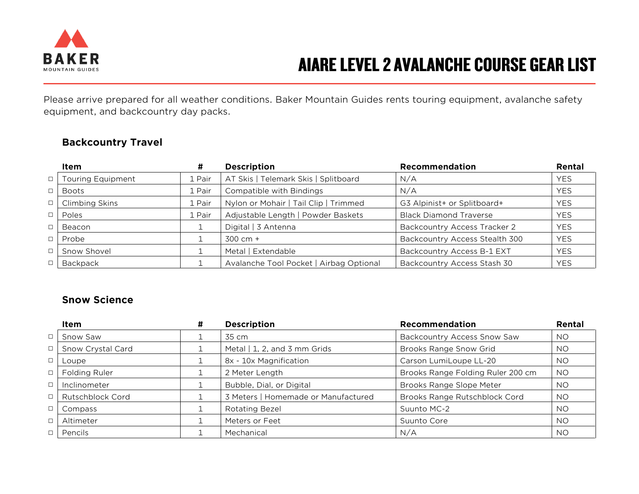

# **AIARE LEVEL 2 AVALANCHE COURSE GEAR LIST**

Please arrive prepared for all weather conditions. Baker Mountain Guides rents touring equipment, avalanche safety equipment, and backcountry day packs.

| Item              |        | <b>Description</b>                      | Recommendation                      | Rental     |
|-------------------|--------|-----------------------------------------|-------------------------------------|------------|
| Touring Equipment | 1 Pair | AT Skis   Telemark Skis   Splitboard    | N/A                                 | <b>YES</b> |
| Boots             | 1 Pair | Compatible with Bindings                | N/A                                 | <b>YES</b> |
| Climbing Skins    | 1 Pair | Nylon or Mohair   Tail Clip   Trimmed   | G3 Alpinist+ or Splitboard+         | <b>YES</b> |
| Poles             | 1 Pair | Adjustable Length   Powder Baskets      | <b>Black Diamond Traverse</b>       | <b>YES</b> |
| Beacon            |        | Digital   3 Antenna                     | <b>Backcountry Access Tracker 2</b> | <b>YES</b> |
| Probe             |        | $300 \, \text{cm} +$                    | Backcountry Access Stealth 300      | <b>YES</b> |
| Snow Shovel       |        | Metal   Extendable                      | Backcountry Access B-1 EXT          | <b>YES</b> |
| Backpack          |        | Avalanche Tool Pocket   Airbag Optional | Backcountry Access Stash 30         | <b>YES</b> |

#### **Backcountry Travel**

### **Snow Science**

|        | Item              | # | <b>Description</b>                  | Recommendation                     | Rental    |
|--------|-------------------|---|-------------------------------------|------------------------------------|-----------|
| $\Box$ | Snow Saw          |   | 35 cm                               | <b>Backcountry Access Snow Saw</b> | <b>NO</b> |
| $\Box$ | Snow Crystal Card |   | Metal   1, 2, and 3 mm Grids        | Brooks Range Snow Grid             | <b>NO</b> |
| $\Box$ | Loupe             |   | 8x - 10x Magnification              | Carson LumiLoupe LL-20             | NO.       |
| $\Box$ | Folding Ruler     |   | 2 Meter Length                      | Brooks Range Folding Ruler 200 cm  | <b>NO</b> |
| $\Box$ | Inclinometer      |   | Bubble, Dial, or Digital            | Brooks Range Slope Meter           | NO.       |
| $\Box$ | Rutschblock Cord  |   | 3 Meters   Homemade or Manufactured | Brooks Range Rutschblock Cord      | <b>NO</b> |
| $\Box$ | Compass           |   | <b>Rotating Bezel</b>               | Suunto MC-2                        | NO.       |
| $\Box$ | Altimeter         |   | Meters or Feet                      | Suunto Core                        | NO.       |
|        | Pencils           |   | Mechanical                          | N/A                                | NO.       |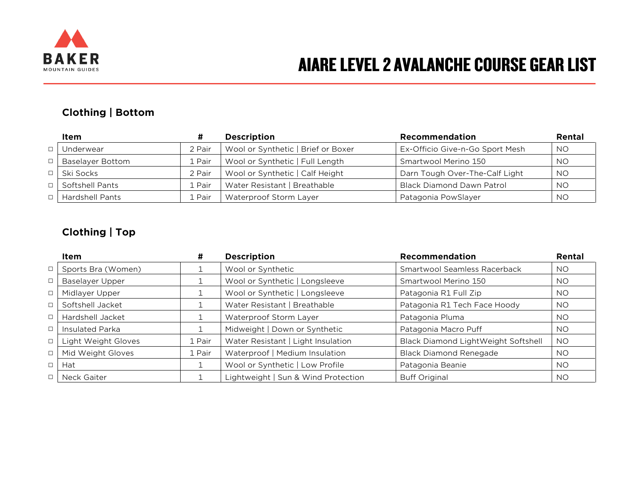

# AIARE LEVEL 2 AVALANCHE COURSE GEAR LIST

### **Clothing | Bottom**

|        | Item                   |        | <b>Description</b>                 | <b>Recommendation</b>            | Rental    |
|--------|------------------------|--------|------------------------------------|----------------------------------|-----------|
|        | Underwear              | 2 Pair | Wool or Synthetic   Brief or Boxer | Ex-Officio Give-n-Go Sport Mesh  | <b>NO</b> |
| $\Box$ | Baselayer Bottom       | 1 Pair | Wool or Synthetic   Full Length    | Smartwool Merino 150             | <b>NO</b> |
|        | $\Box$ Ski Socks       | 2 Pair | Wool or Synthetic   Calf Height    | Darn Tough Over-The-Calf Light   | <b>NO</b> |
| $\Box$ | Softshell Pants        | ⊥ Pair | Water Resistant   Breathable       | <b>Black Diamond Dawn Patrol</b> | <b>NO</b> |
|        | <b>Hardshell Pants</b> | . Pair | Waterproof Storm Layer             | Patagonia PowSlayer              | <b>NO</b> |

### **Clothing | Top**

|        | Item                | #      | <b>Description</b>                  | Recommendation                      | Rental    |
|--------|---------------------|--------|-------------------------------------|-------------------------------------|-----------|
| $\Box$ | Sports Bra (Women)  |        | Wool or Synthetic                   | Smartwool Seamless Racerback        | <b>NO</b> |
| $\Box$ | Baselayer Upper     |        | Wool or Synthetic   Longsleeve      | Smartwool Merino 150                | <b>NO</b> |
| $\Box$ | Midlayer Upper      |        | Wool or Synthetic   Longsleeve      | Patagonia R1 Full Zip               | NO.       |
| $\Box$ | Softshell Jacket    |        | Water Resistant   Breathable        | Patagonia R1 Tech Face Hoody        | <b>NO</b> |
| $\Box$ | Hardshell Jacket    |        | Waterproof Storm Layer              | Patagonia Pluma                     | NO.       |
| $\Box$ | Insulated Parka     |        | Midweight   Down or Synthetic       | Patagonia Macro Puff                | <b>NO</b> |
| $\Box$ | Light Weight Gloves | 1 Pair | Water Resistant   Light Insulation  | Black Diamond LightWeight Softshell | <b>NO</b> |
| $\Box$ | Mid Weight Gloves   | 1 Pair | Waterproof   Medium Insulation      | <b>Black Diamond Renegade</b>       | NO.       |
| $\Box$ | Hat                 |        | Wool or Synthetic   Low Profile     | Patagonia Beanie                    | <b>NO</b> |
| $\Box$ | Neck Gaiter         |        | Lightweight   Sun & Wind Protection | <b>Buff Original</b>                | NO.       |